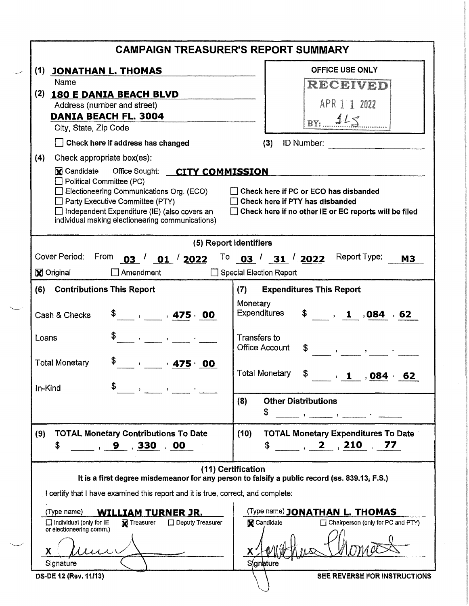| <b>CAMPAIGN TREASURER'S REPORT SUMMARY</b>                                                                                                                                                                                              |                                                                                                                                            |  |  |  |  |  |  |
|-----------------------------------------------------------------------------------------------------------------------------------------------------------------------------------------------------------------------------------------|--------------------------------------------------------------------------------------------------------------------------------------------|--|--|--|--|--|--|
| (1) JONATHAN L. THOMAS                                                                                                                                                                                                                  | <b>OFFICE USE ONLY</b>                                                                                                                     |  |  |  |  |  |  |
| Name                                                                                                                                                                                                                                    | RECEIVED                                                                                                                                   |  |  |  |  |  |  |
| (2)<br>180 E DANIA BEACH BLVD                                                                                                                                                                                                           |                                                                                                                                            |  |  |  |  |  |  |
| Address (number and street)                                                                                                                                                                                                             | APR 1 1 2022                                                                                                                               |  |  |  |  |  |  |
| <b>DANIA BEACH FL. 3004</b><br>City, State, Zip Code                                                                                                                                                                                    | BY: 115                                                                                                                                    |  |  |  |  |  |  |
| Check here if address has changed                                                                                                                                                                                                       | <b>ID Number: ID</b> Number:<br>(3)                                                                                                        |  |  |  |  |  |  |
| (4)<br>Check appropriate box(es):                                                                                                                                                                                                       |                                                                                                                                            |  |  |  |  |  |  |
| M Candidate Office Sought: CITY COMMISSION                                                                                                                                                                                              |                                                                                                                                            |  |  |  |  |  |  |
| $\Box$ Political Committee (PC)<br>$\Box$ Electioneering Communications Org. (ECO)<br>$\Box$ Party Executive Committee (PTY)<br>$\Box$ Independent Expenditure (IE) (also covers an<br>individual making electioneering communications) | $\Box$ Check here if PC or ECO has disbanded<br>Check here if PTY has disbanded<br>□ Check here if no other IE or EC reports will be filed |  |  |  |  |  |  |
| (5) Report Identifiers                                                                                                                                                                                                                  |                                                                                                                                            |  |  |  |  |  |  |
| Cover Period:<br>From<br>$\binom{03}{ }$ 01 $\binom{03}{ }$                                                                                                                                                                             | Report Type:<br>To $03 / 31 / 2022$<br><b>M3</b>                                                                                           |  |  |  |  |  |  |
| <b>X</b> Original<br>Amendment                                                                                                                                                                                                          | <b>Special Election Report</b>                                                                                                             |  |  |  |  |  |  |
|                                                                                                                                                                                                                                         |                                                                                                                                            |  |  |  |  |  |  |
| <b>Contributions This Report</b><br>(6)                                                                                                                                                                                                 | <b>Expenditures This Report</b><br>(7)                                                                                                     |  |  |  |  |  |  |
| $\frac{1}{2}$ , $\frac{1}{2}$ , 475 $\cdot$ 00<br>Cash & Checks                                                                                                                                                                         | Monetary<br>Expenditures<br>$\frac{1}{2}$ , 1,084 .62                                                                                      |  |  |  |  |  |  |
| \$.<br>$\mathcal{A}=\{a_1,\ldots,a_n\}$ , and $\mathcal{A}=\{a_1,\ldots,a_n\}$<br>Loans                                                                                                                                                 | <b>Transfers to</b><br><b>Office Account</b>                                                                                               |  |  |  |  |  |  |
| \$<br><b>Total Monetary</b><br>$\bullet$ $\bullet$ 475 $\cdot$ 00<br>In-Kind                                                                                                                                                            | <b>Total Monetary</b><br>$\frac{1}{2}$ , 1, 084.<br>62                                                                                     |  |  |  |  |  |  |
|                                                                                                                                                                                                                                         | (8)<br><b>Other Distributions</b><br>\$                                                                                                    |  |  |  |  |  |  |
| <b>TOTAL Monetary Contributions To Date</b><br>(9)<br>\$                                                                                                                                                                                | <b>TOTAL Monetary Expenditures To Date</b><br>(10)<br>$\frac{1}{2}$ , 2, 210 $\frac{1}{2}$ 77<br>\$                                        |  |  |  |  |  |  |
| (11) Certification                                                                                                                                                                                                                      |                                                                                                                                            |  |  |  |  |  |  |
|                                                                                                                                                                                                                                         | It is a first degree misdemeanor for any person to falsify a public record (ss. 839.13, F.S.)                                              |  |  |  |  |  |  |
| I certify that I have examined this report and it is true, correct, and complete:                                                                                                                                                       |                                                                                                                                            |  |  |  |  |  |  |
| (Type name)<br><b>WILLIAM TURNER JR.</b>                                                                                                                                                                                                | (Type name) JONATHAN L. THOMAS                                                                                                             |  |  |  |  |  |  |
| $\Box$ Individual (only for IE<br><b>V</b> Treasurer<br>$\Box$ Deputy Treasurer                                                                                                                                                         | □ Chairperson (only for PC and PTY)<br><b>X</b> Candidate                                                                                  |  |  |  |  |  |  |
| or electioneering comm.)<br>X                                                                                                                                                                                                           |                                                                                                                                            |  |  |  |  |  |  |
| Signature                                                                                                                                                                                                                               | <b>S</b> ignature                                                                                                                          |  |  |  |  |  |  |
| DS-DE 12 (Rev. 11/13)                                                                                                                                                                                                                   | SEE REVERSE FOR INSTRUCTIONS                                                                                                               |  |  |  |  |  |  |

 $\searrow$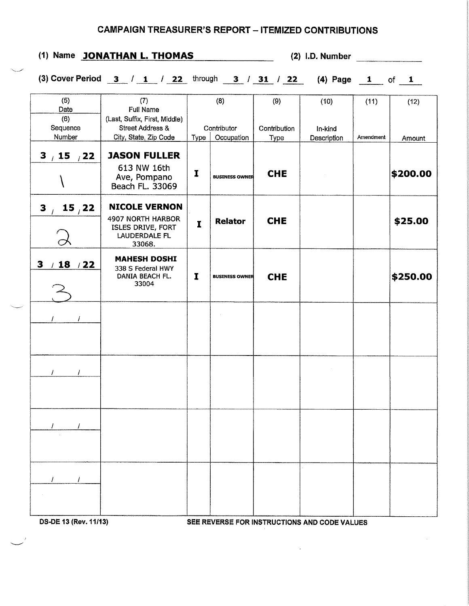## CAMPAIGN TREASURER'S REPORT - ITEMIZED CONTRIBUTIONS

| (1) Name JONATHAN L. THOMAS                                                                                      |      |                       |                             | $(2)$ I.D. Number              |                   |                                                                                                                         |  |  |
|------------------------------------------------------------------------------------------------------------------|------|-----------------------|-----------------------------|--------------------------------|-------------------|-------------------------------------------------------------------------------------------------------------------------|--|--|
|                                                                                                                  |      |                       |                             |                                |                   |                                                                                                                         |  |  |
| (7)<br><b>Full Name</b><br>(Last, Suffix, First, Middle)<br><b>Street Address &amp;</b><br>City, State, Zip Code | Type | (8)<br>Occupation     | (9)<br>Contribution<br>Type | (10)<br>In-kind<br>Description | (11)<br>Amendment | (12)<br>Amount                                                                                                          |  |  |
| <b>JASON FULLER</b><br>613 NW 16th<br>Ave, Pompano<br>Beach FL. 33069                                            | I    | <b>BUSINESS OWNER</b> | <b>CHE</b>                  |                                |                   | \$200.00                                                                                                                |  |  |
| <b>NICOLE VERNON</b><br>4907 NORTH HARBOR<br>ISLES DRIVE, FORT<br>LAUDERDALE FL<br>33068.                        | I    | <b>Relator</b>        | <b>CHE</b>                  |                                |                   | \$25.00                                                                                                                 |  |  |
| <b>MAHESH DOSHI</b><br>338 S Federal HWY<br>DANIA BEACH FL.<br>33004                                             | I    | <b>BUSINESS OWNER</b> | <b>CHE</b>                  |                                |                   | \$250.00                                                                                                                |  |  |
|                                                                                                                  |      |                       |                             |                                |                   |                                                                                                                         |  |  |
|                                                                                                                  |      |                       |                             |                                |                   |                                                                                                                         |  |  |
|                                                                                                                  |      |                       |                             |                                |                   |                                                                                                                         |  |  |
|                                                                                                                  |      |                       |                             |                                |                   |                                                                                                                         |  |  |
|                                                                                                                  |      |                       | Contributor                 |                                |                   | (3) Cover Period $\frac{3}{1}$ / $\frac{1}{22}$ through $\frac{3}{1}$ / $\frac{31}{1}$ / 22 (4) Page $\frac{1}{1}$ of 1 |  |  |

DS·DE 13 (Rev. 11/13) SEE REVERSE FOR INSTRUCTIONS AND CODE VALUES

 $\sim$